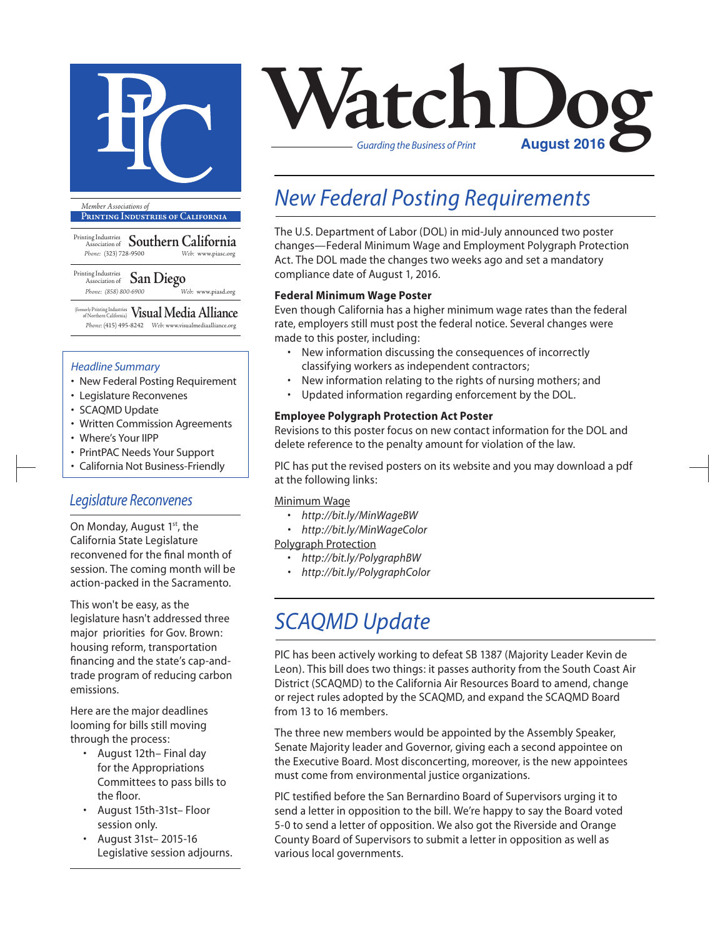

**Printing Industries of California**

Printing Industries Association of **Southern California** *Phone:* (323) 728-9500 *Web:* www.piasc.org

#### Printing Industries Association of **San Diego** *Phone: (858) 800-6900 Web:* www.piasd.org

(formerly Printing Industries of Northern California) **Visual Media Alliance** *Phone:* (415) 495-8242 *Web:* www.visualmediaalliance.org

### *Headline Summary*

- New Federal Posting Requirement
- Legislature Reconvenes
- SCAQMD Update
- Written Commission Agreements
- Where's Your IIPP
- PrintPAC Needs Your Support
- California Not Business-Friendly

### *Legislature Reconvenes*

On Monday, August 1<sup>st</sup>, the California State Legislature reconvened for the final month of session. The coming month will be action-packed in the Sacramento.

This won't be easy, as the legislature hasn't addressed three major priorities for Gov. Brown: housing reform, transportation financing and the state's cap-andtrade program of reducing carbon emissions.

Here are the major deadlines looming for bills still moving through the process:

- August 12th– Final day for the Appropriations Committees to pass bills to the floor.
- August 15th-31st– Floor session only.
- August 31st– 2015-16 Legislative session adjourns.



## *New Federal Posting Requirements*

The U.S. Department of Labor (DOL) in mid-July announced two poster changes—Federal Minimum Wage and Employment Polygraph Protection Act. The DOL made the changes two weeks ago and set a mandatory compliance date of August 1, 2016.

### **Federal Minimum Wage Poster**

Even though California has a higher minimum wage rates than the federal rate, employers still must post the federal notice. Several changes were made to this poster, including:

- New information discussing the consequences of incorrectly classifying workers as independent contractors;
- New information relating to the rights of nursing mothers; and
- Updated information regarding enforcement by the DOL.

### **Employee Polygraph Protection Act Poster**

Revisions to this poster focus on new contact information for the DOL and delete reference to the penalty amount for violation of the law.

PIC has put the revised posters on its website and you may download a pdf at the following links:

#### Minimum Wage

- *http://bit.ly/MinWageBW*
- *• http://bit.ly/MinWageColor*

Polygraph Protection

- *http://bit.ly/PolygraphBW*
- *• http://bit.ly/PolygraphColor*

## *SCAQMD Update*

PIC has been actively working to defeat SB 1387 (Majority Leader Kevin de Leon). This bill does two things: it passes authority from the South Coast Air District (SCAQMD) to the California Air Resources Board to amend, change or reject rules adopted by the SCAQMD, and expand the SCAQMD Board from 13 to 16 members.

The three new members would be appointed by the Assembly Speaker, Senate Majority leader and Governor, giving each a second appointee on the Executive Board. Most disconcerting, moreover, is the new appointees must come from environmental justice organizations.

PIC testified before the San Bernardino Board of Supervisors urging it to send a letter in opposition to the bill. We're happy to say the Board voted 5-0 to send a letter of opposition. We also got the Riverside and Orange County Board of Supervisors to submit a letter in opposition as well as various local governments.